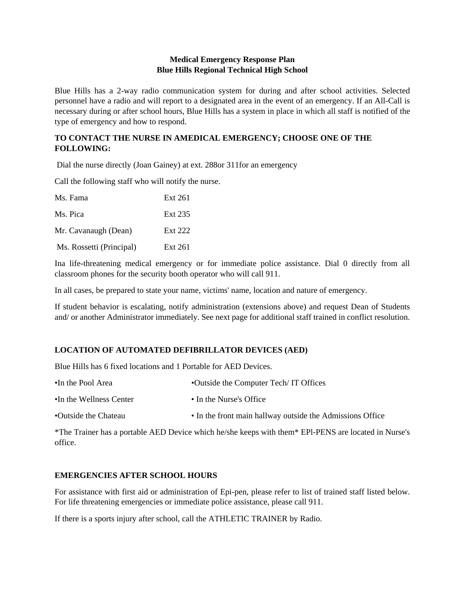### **Medical Emergency Response Plan Blue Hills Regional Technical High School**

Blue Hills has a 2-way radio communication system for during and after school activities. Selected personnel have a radio and will report to a designated area in the event of an emergency. If an All-Call is necessary during or after school hours, Blue Hills has a system in place in which all staff is notified of the type of emergency and how to respond.

# **TO CONTACT THE NURSE IN AMEDICAL EMERGENCY; CHOOSE ONE OF THE FOLLOWING:**

Dial the nurse directly (Joan Gainey) at ext. 288or 311for an emergency

Call the following staff who will notify the nurse.

| Ms. Fama                 | Ext 261 |
|--------------------------|---------|
| Ms. Pica                 | Ext 235 |
| Mr. Cavanaugh (Dean)     | Ext 222 |
| Ms. Rossetti (Principal) | Ext 261 |

Ina life-threatening medical emergency or for immediate police assistance. Dial 0 directly from all classroom phones for the security booth operator who will call 911.

In all cases, be prepared to state your name, victims' name, location and nature of emergency.

If student behavior is escalating, notify administration (extensions above) and request Dean of Students and/ or another Administrator immediately. See next page for additional staff trained in conflict resolution.

### **LOCATION OF AUTOMATED DEFIBRILLATOR DEVICES (AED)**

Blue Hills has 6 fixed locations and 1 Portable for AED Devices.

| •In the Pool Area       | • Outside the Computer Tech/IT Offices                    |
|-------------------------|-----------------------------------------------------------|
| •In the Wellness Center | • In the Nurse's Office                                   |
| •Outside the Chateau    | • In the front main hallway outside the Admissions Office |

\*The Trainer has a portable AED Device which he/she keeps with them\* EPl-PENS are located in Nurse's office.

### **EMERGENCIES AFTER SCHOOL HOURS**

For assistance with first aid or administration of Epi-pen, please refer to list of trained staff listed below. For life threatening emergencies or immediate police assistance, please call 911.

If there is a sports injury after school, call the ATHLETIC TRAINER by Radio.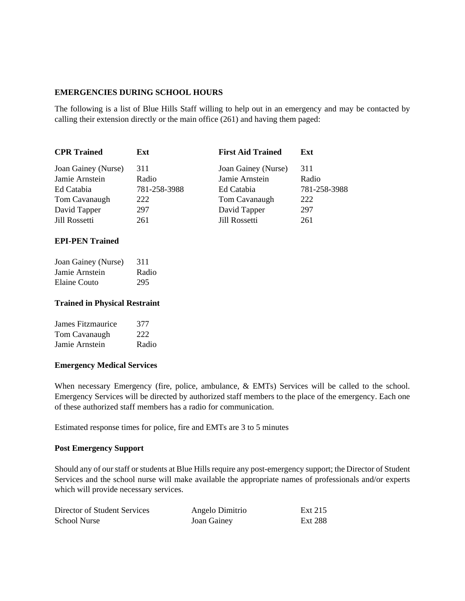### **EMERGENCIES DURING SCHOOL HOURS**

The following is a list of Blue Hills Staff willing to help out in an emergency and may be contacted by calling their extension directly or the main office (261) and having them paged:

| <b>CPR Trained</b>  | Ext          | <b>First Aid Trained</b> | Ext          |
|---------------------|--------------|--------------------------|--------------|
| Joan Gainey (Nurse) | 311          | Joan Gainey (Nurse)      | 311          |
| Jamie Arnstein      | Radio        | Jamie Arnstein           | Radio        |
| Ed Catabia          | 781-258-3988 | Ed Catabia               | 781-258-3988 |
| Tom Cavanaugh       | 222          | Tom Cavanaugh            | 222          |
| David Tapper        | 297          | David Tapper             | 297          |
| Jill Rossetti       | 261          | Jill Rossetti            | 261          |

### **EPI-PEN Trained**

| Joan Gainey (Nurse) | 311   |
|---------------------|-------|
| Jamie Arnstein      | Radio |
| Elaine Couto        | 295   |

### **Trained in Physical Restraint**

| James Fitzmaurice | 377   |
|-------------------|-------|
| Tom Cavanaugh     | 222   |
| Jamie Arnstein    | Radio |

### **Emergency Medical Services**

When necessary Emergency (fire, police, ambulance, & EMTs) Services will be called to the school. Emergency Services will be directed by authorized staff members to the place of the emergency. Each one of these authorized staff members has a radio for communication.

Estimated response times for police, fire and EMTs are 3 to 5 minutes

### **Post Emergency Support**

Should any of our staff or students at Blue Hills require any post-emergency support; the Director of Student Services and the school nurse will make available the appropriate names of professionals and/or experts which will provide necessary services.

| Director of Student Services | Angelo Dimitrio | Ext 215 |
|------------------------------|-----------------|---------|
| <b>School Nurse</b>          | Joan Gainey     | Ext 288 |